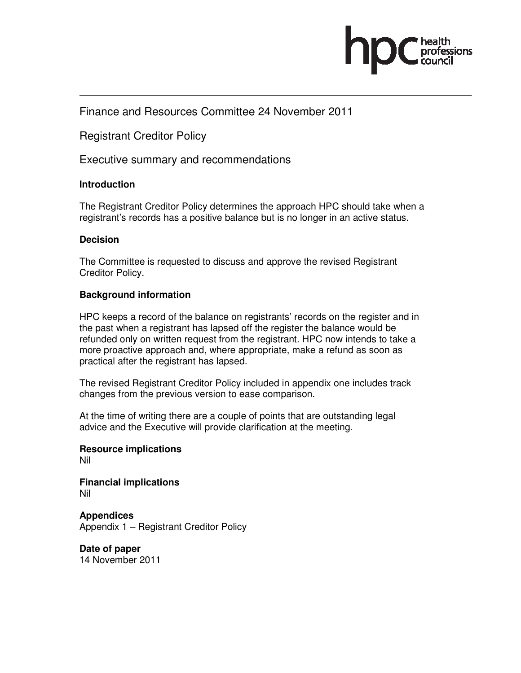

## Finance and Resources Committee 24 November 2011

Registrant Creditor Policy

Executive summary and recommendations

#### **Introduction**

The Registrant Creditor Policy determines the approach HPC should take when a registrant's records has a positive balance but is no longer in an active status.

#### **Decision**

The Committee is requested to discuss and approve the revised Registrant Creditor Policy.

### **Background information**

HPC keeps a record of the balance on registrants' records on the register and in the past when a registrant has lapsed off the register the balance would be refunded only on written request from the registrant. HPC now intends to take a more proactive approach and, where appropriate, make a refund as soon as practical after the registrant has lapsed.

The revised Registrant Creditor Policy included in appendix one includes track changes from the previous version to ease comparison.

At the time of writing there are a couple of points that are outstanding legal advice and the Executive will provide clarification at the meeting.

**Resource implications**  Nil

**Financial implications**  Nil

**Appendices**  Appendix 1 – Registrant Creditor Policy

**Date of paper**  14 November 2011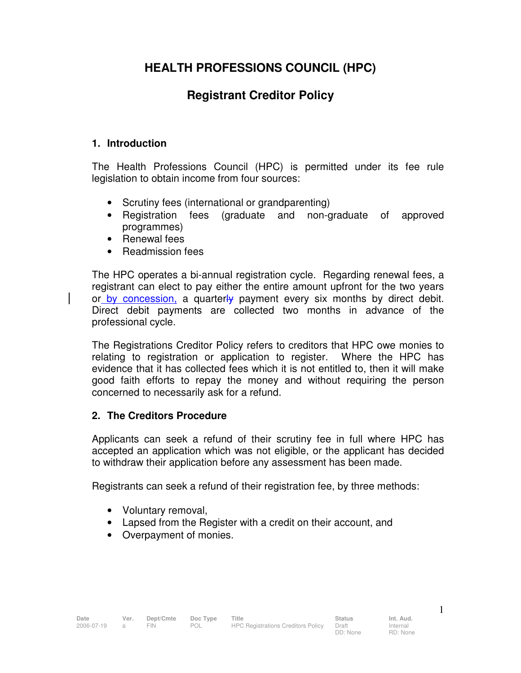# **HEALTH PROFESSIONS COUNCIL (HPC)**

# **Registrant Creditor Policy**

### **1. Introduction**

The Health Professions Council (HPC) is permitted under its fee rule legislation to obtain income from four sources:

- Scrutiny fees (international or grandparenting)
- Registration fees (graduate and non-graduate of approved programmes)
- Renewal fees
- Readmission fees

The HPC operates a bi-annual registration cycle. Regarding renewal fees, a registrant can elect to pay either the entire amount upfront for the two years or by concession, a quarterly payment every six months by direct debit. Direct debit payments are collected two months in advance of the professional cycle.

The Registrations Creditor Policy refers to creditors that HPC owe monies to relating to registration or application to register. Where the HPC has evidence that it has collected fees which it is not entitled to, then it will make good faith efforts to repay the money and without requiring the person concerned to necessarily ask for a refund.

## **2. The Creditors Procedure**

Applicants can seek a refund of their scrutiny fee in full where HPC has accepted an application which was not eligible, or the applicant has decided to withdraw their application before any assessment has been made.

Registrants can seek a refund of their registration fee, by three methods:

- Voluntary removal,
- Lapsed from the Register with a credit on their account, and
- Overpayment of monies.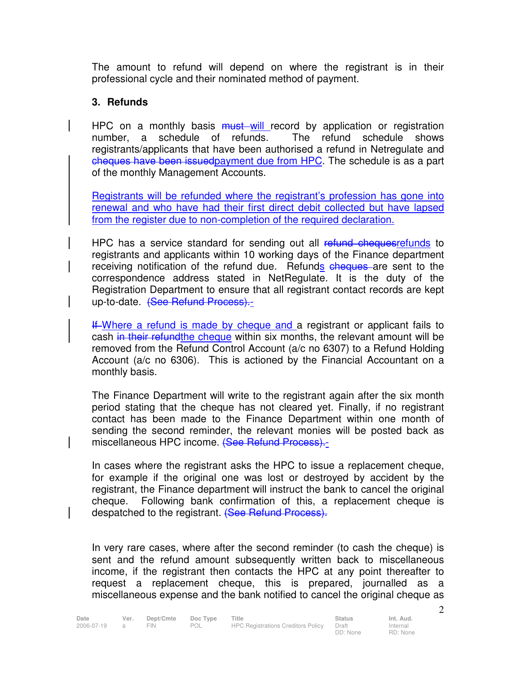The amount to refund will depend on where the registrant is in their professional cycle and their nominated method of payment.

## **3. Refunds**

HPC on a monthly basis **must** will record by application or registration number, a schedule of refunds. The refund schedule shows registrants/applicants that have been authorised a refund in Netregulate and cheques have been issuedpayment due from HPC. The schedule is as a part of the monthly Management Accounts.

Registrants will be refunded where the registrant's profession has gone into renewal and who have had their first direct debit collected but have lapsed from the register due to non-completion of the required declaration.

HPC has a service standard for sending out all refund chequesrefunds to registrants and applicants within 10 working days of the Finance department receiving notification of the refund due. Refunds cheques are sent to the correspondence address stated in NetRegulate. It is the duty of the Registration Department to ensure that all registrant contact records are kept up-to-date. (See Refund Process).

If Where a refund is made by cheque and a registrant or applicant fails to cash in their refund the cheque within six months, the relevant amount will be removed from the Refund Control Account (a/c no 6307) to a Refund Holding Account (a/c no 6306). This is actioned by the Financial Accountant on a monthly basis.

The Finance Department will write to the registrant again after the six month period stating that the cheque has not cleared yet. Finally, if no registrant contact has been made to the Finance Department within one month of sending the second reminder, the relevant monies will be posted back as miscellaneous HPC income. (See Refund Process).-

In cases where the registrant asks the HPC to issue a replacement cheque, for example if the original one was lost or destroyed by accident by the registrant, the Finance department will instruct the bank to cancel the original cheque. Following bank confirmation of this, a replacement cheque is despatched to the registrant. (See Refund Process).

In very rare cases, where after the second reminder (to cash the cheque) is sent and the refund amount subsequently written back to miscellaneous income, if the registrant then contacts the HPC at any point thereafter to request a replacement cheque, this is prepared, journalled as a miscellaneous expense and the bank notified to cancel the original cheque as

Internal RD: None